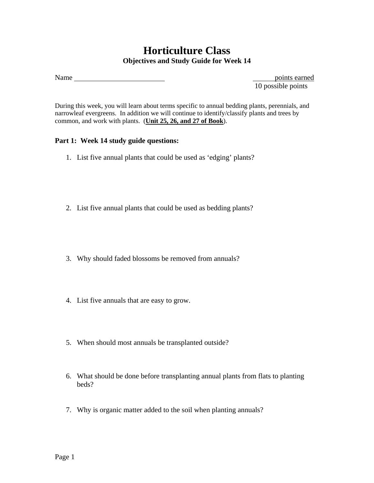## **Horticulture Class Objectives and Study Guide for Week 14**

Name points earned

10 possible points

During this week, you will learn about terms specific to annual bedding plants, perennials, and narrowleaf evergreens. In addition we will continue to identify/classify plants and trees by common, and work with plants. (**Unit 25, 26, and 27 of Book**).

## **Part 1: Week 14 study guide questions:**

- 1. List five annual plants that could be used as 'edging' plants?
- 2. List five annual plants that could be used as bedding plants?
- 3. Why should faded blossoms be removed from annuals?
- 4. List five annuals that are easy to grow.
- 5. When should most annuals be transplanted outside?
- 6. What should be done before transplanting annual plants from flats to planting beds?
- 7. Why is organic matter added to the soil when planting annuals?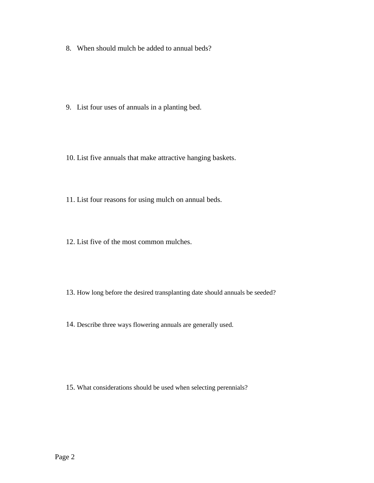8. When should mulch be added to annual beds?

- 9. List four uses of annuals in a planting bed.
- 10. List five annuals that make attractive hanging baskets.
- 11. List four reasons for using mulch on annual beds.
- 12. List five of the most common mulches.
- 13. How long before the desired transplanting date should annuals be seeded?
- 14. Describe three ways flowering annuals are generally used.

15. What considerations should be used when selecting perennials?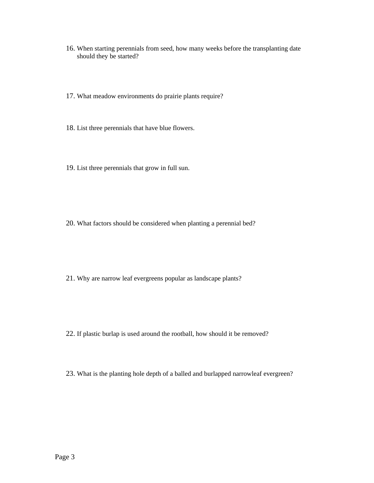- 16. When starting perennials from seed, how many weeks before the transplanting date should they be started?
- 17. What meadow environments do prairie plants require?
- 18. List three perennials that have blue flowers.
- 19. List three perennials that grow in full sun.

- 20. What factors should be considered when planting a perennial bed?
- 21. Why are narrow leaf evergreens popular as landscape plants?
- 22. If plastic burlap is used around the rootball, how should it be removed?
- 23. What is the planting hole depth of a balled and burlapped narrowleaf evergreen?